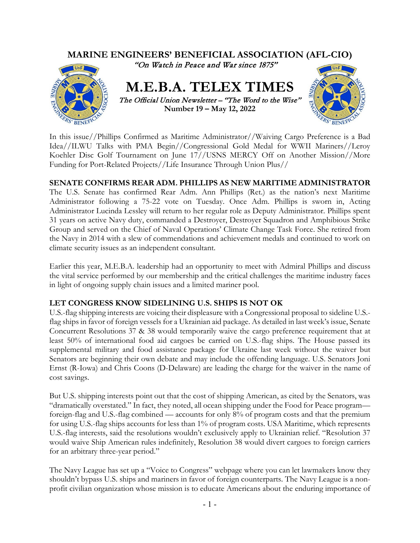

In this issue//Phillips Confirmed as Maritime Administrator//Waiving Cargo Preference is a Bad Idea//ILWU Talks with PMA Begin//Congressional Gold Medal for WWII Mariners//Leroy Koehler Disc Golf Tournament on June 17//USNS MERCY Off on Another Mission//More Funding for Port-Related Projects//Life Insurance Through Union Plus//

### **SENATE CONFIRMS REAR ADM. PHILLIPS AS NEW MARITIME ADMINISTRATOR**

The U.S. Senate has confirmed Rear Adm. Ann Phillips (Ret.) as the nation's next Maritime Administrator following a 75-22 vote on Tuesday. Once Adm. Phillips is sworn in, Acting Administrator Lucinda Lessley will return to her regular role as Deputy Administrator. Phillips spent 31 years on active Navy duty, commanded a Destroyer, Destroyer Squadron and Amphibious Strike Group and served on the Chief of Naval Operations' Climate Change Task Force. She retired from the Navy in 2014 with a slew of commendations and achievement medals and continued to work on climate security issues as an independent consultant.

Earlier this year, M.E.B.A. leadership had an opportunity to meet with Admiral Phillips and discuss the vital service performed by our membership and the critical challenges the maritime industry faces in light of ongoing supply chain issues and a limited mariner pool.

### **LET CONGRESS KNOW SIDELINING U.S. SHIPS IS NOT OK**

U.S.-flag shipping interests are voicing their displeasure with a Congressional proposal to sideline U.S. flag ships in favor of foreign vessels for a Ukrainian aid package. As detailed in last week's issue, Senate Concurrent Resolutions 37 & 38 would temporarily waive the cargo preference requirement that at least 50% of international food aid cargoes be carried on U.S.-flag ships. The House passed its supplemental military and food assistance package for Ukraine last week without the waiver but Senators are beginning their own debate and may include the offending language. U.S. Senators Joni Ernst (R-Iowa) and Chris Coons (D-Delaware) are leading the charge for the waiver in the name of cost savings.

But U.S. shipping interests point out that the cost of shipping American, as cited by the Senators, was "dramatically overstated." In fact, they noted, all ocean shipping under the Food for Peace program foreign-flag and U.S.-flag combined — accounts for only 8% of program costs and that the premium for using U.S.-flag ships accounts for less than 1% of program costs. USA Maritime, which represents U.S.-flag interests, said the resolutions wouldn't exclusively apply to Ukrainian relief. "Resolution 37 would waive Ship American rules indefinitely, Resolution 38 would divert cargoes to foreign carriers for an arbitrary three-year period."

The Navy League has set up a "Voice to Congress" webpage where you can let lawmakers know they shouldn't bypass U.S. ships and mariners in favor of foreign counterparts. The Navy League is a nonprofit civilian organization whose mission is to educate Americans about the enduring importance of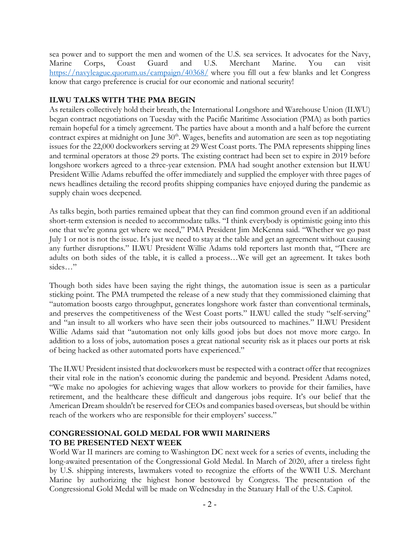sea power and to support the men and women of the U.S. sea services. It advocates for the Navy, Marine Corps, Coast Guard and U.S. Merchant Marine. You can visit <https://navyleague.quorum.us/campaign/40368/> where you fill out a few blanks and let Congress know that cargo preference is crucial for our economic and national security!

# **ILWU TALKS WITH THE PMA BEGIN**

As retailers collectively hold their breath, the International Longshore and Warehouse Union (ILWU) began contract negotiations on Tuesday with the Pacific Maritime Association (PMA) as both parties remain hopeful for a timely agreement. The parties have about a month and a half before the current contract expires at midnight on June 30<sup>th</sup>. Wages, benefits and automation are seen as top negotiating issues for the 22,000 dockworkers serving at 29 West Coast ports. The PMA represents shipping lines and terminal operators at those 29 ports. The existing contract had been set to expire in 2019 before longshore workers agreed to a three-year extension. PMA had sought another extension but ILWU President Willie Adams rebuffed the offer immediately and supplied the employer with three pages of news headlines detailing the record profits shipping companies have enjoyed during the pandemic as supply chain woes deepened.

As talks begin, both parties remained upbeat that they can find common ground even if an additional short-term extension is needed to accommodate talks. "I think everybody is optimistic going into this one that we're gonna get where we need," PMA President Jim McKenna said. "Whether we go past July 1 or not is not the issue. It's just we need to stay at the table and get an agreement without causing any further disruptions." ILWU President Willie Adams told reporters last month that, "There are adults on both sides of the table, it is called a process…We will get an agreement. It takes both sides…"

Though both sides have been saying the right things, the automation issue is seen as a particular sticking point. The PMA trumpeted the release of a new study that they commissioned claiming that "automation boosts cargo throughput, generates longshore work faster than conventional terminals, and preserves the competitiveness of the West Coast ports." ILWU called the study "self-serving" and "an insult to all workers who have seen their jobs outsourced to machines." ILWU President Willie Adams said that "automation not only kills good jobs but does not move more cargo. In addition to a loss of jobs, automation poses a great national security risk as it places our ports at risk of being hacked as other automated ports have experienced."

The ILWU President insisted that dockworkers must be respected with a contract offer that recognizes their vital role in the nation's economic during the pandemic and beyond. President Adams noted, "We make no apologies for achieving wages that allow workers to provide for their families, have retirement, and the healthcare these difficult and dangerous jobs require. It's our belief that the American Dream shouldn't be reserved for CEOs and companies based overseas, but should be within reach of the workers who are responsible for their employers' success."

### **CONGRESSIONAL GOLD MEDAL FOR WWII MARINERS TO BE PRESENTED NEXT WEEK**

World War II mariners are coming to Washington DC next week for a series of events, including the long-awaited presentation of the Congressional Gold Medal. In March of 2020, after a tireless fight by U.S. shipping interests, lawmakers voted to recognize the efforts of the WWII U.S. Merchant Marine by authorizing the highest honor bestowed by Congress. The presentation of the Congressional Gold Medal will be made on Wednesday in the Statuary Hall of the U.S. Capitol.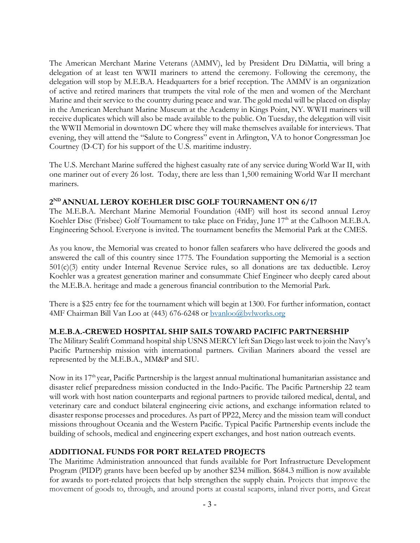The American Merchant Marine Veterans (AMMV), led by President Dru DiMattia, will bring a delegation of at least ten WWII mariners to attend the ceremony. Following the ceremony, the delegation will stop by M.E.B.A. Headquarters for a brief reception. The AMMV is an organization of active and retired mariners that trumpets the vital role of the men and women of the Merchant Marine and their service to the country during peace and war. The gold medal will be placed on display in the American Merchant Marine Museum at the Academy in Kings Point, NY. WWII mariners will receive duplicates which will also be made available to the public. On Tuesday, the delegation will visit the WWII Memorial in downtown DC where they will make themselves available for interviews. That evening, they will attend the "Salute to Congress" event in Arlington, VA to honor Congressman Joe Courtney (D-CT) for his support of the U.S. maritime industry.

The U.S. Merchant Marine suffered the highest casualty rate of any service during World War II, with one mariner out of every 26 lost. Today, there are less than 1,500 remaining World War II merchant mariners.

### **2ND ANNUAL LEROY KOEHLER DISC GOLF TOURNAMENT ON 6/17**

The M.E.B.A. Merchant Marine Memorial Foundation (4MF) will host its second annual Leroy Koehler Disc (Frisbee) Golf Tournament to take place on Friday, June 17<sup>th</sup> at the Calhoon M.E.B.A. Engineering School. Everyone is invited. The tournament benefits the Memorial Park at the CMES.

As you know, the Memorial was created to honor fallen seafarers who have delivered the goods and answered the call of this country since 1775. The Foundation supporting the Memorial is a section 501(c)(3) entity under Internal Revenue Service rules, so all donations are tax deductible. Leroy Koehler was a greatest generation mariner and consummate Chief Engineer who deeply cared about the M.E.B.A. heritage and made a generous financial contribution to the Memorial Park.

There is a \$25 entry fee for the tournament which will begin at 1300. For further information, contact 4MF Chairman Bill Van Loo at (443) 676-6248 or [bvanloo@bvlworks.org](mailto:bvanloo@bvlworks.org)

#### **M.E.B.A.-CREWED HOSPITAL SHIP SAILS TOWARD PACIFIC PARTNERSHIP**

The Military Sealift Command hospital ship USNS MERCY left San Diego last week to join the Navy's Pacific Partnership mission with international partners. Civilian Mariners aboard the vessel are represented by the M.E.B.A., MM&P and SIU.

Now in its 17th year, Pacific Partnership is the largest annual multinational humanitarian assistance and disaster relief preparedness mission conducted in the Indo-Pacific. The Pacific Partnership 22 team will work with host nation counterparts and regional partners to provide tailored medical, dental, and veterinary care and conduct bilateral engineering civic actions, and exchange information related to disaster response processes and procedures. As part of PP22, Mercy and the mission team will conduct missions throughout Oceania and the Western Pacific. Typical Pacific Partnership events include the building of schools, medical and engineering expert exchanges, and host nation outreach events.

#### **ADDITIONAL FUNDS FOR PORT RELATED PROJECTS**

The Maritime Administration announced that funds available for Port Infrastructure Development Program (PIDP) grants have been beefed up by another \$234 million. \$684.3 million is now available for awards to port-related projects that help strengthen the supply chain. Projects that improve the movement of goods to, through, and around ports at coastal seaports, inland river ports, and Great